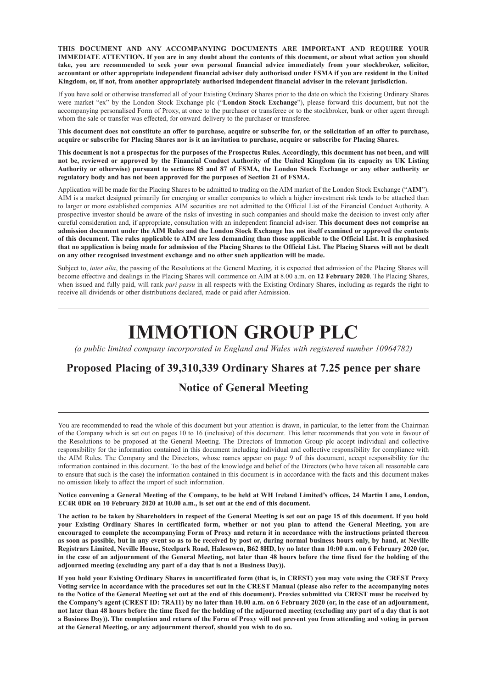**THIS DOCUMENT AND ANY ACCOMPANYING DOCUMENTS ARE IMPORTANT AND REQUIRE YOUR** IMMEDIATE ATTENTION. If you are in any doubt about the contents of this document, or about what action you should take, you are recommended to seek your own personal financial advice immediately from your stockbroker, solicitor, accountant or other appropriate independent financial adviser duly authorised under FSMA if you are resident in the United **Kingdom, or, if not, from another appropriately authorised independent financial adviser in the relevant jurisdiction.**

If you have sold or otherwise transferred all of your Existing Ordinary Shares prior to the date on which the Existing Ordinary Shares were market "ex" by the London Stock Exchange plc ("**London Stock Exchange**"), please forward this document, but not the accompanying personalised Form of Proxy, at once to the purchaser or transferee or to the stockbroker, bank or other agent through whom the sale or transfer was effected, for onward delivery to the purchaser or transferee.

This document does not constitute an offer to purchase, acquire or subscribe for, or the solicitation of an offer to purchase, acquire or subscribe for Placing Shares nor is it an invitation to purchase, acquire or subscribe for Placing Shares.

This document is not a prospectus for the purposes of the Prospectus Rules. Accordingly, this document has not been, and will not be, reviewed or approved by the Financial Conduct Authority of the United Kingdom (in its capacity as UK Listing Authority or otherwise) pursuant to sections 85 and 87 of FSMA, the London Stock Exchange or any other authority or **regulatory body and has not been approved for the purposes of Section 21 of FSMA.**

Application will be made for the Placing Shares to be admitted to trading on the AIM market of the London Stock Exchange ("**AIM**"). AIM is a market designed primarily for emerging or smaller companies to which a higher investment risk tends to be attached than to larger or more established companies. AIM securities are not admitted to the Official List of the Financial Conduct Authority. A prospective investor should be aware of the risks of investing in such companies and should make the decision to invest only after careful consideration and, if appropriate, consultation with an independent financial adviser. **This document does not comprise an** admission document under the AIM Rules and the London Stock Exchange has not itself examined or approved the contents of this document. The rules applicable to AIM are less demanding than those applicable to the Official List. It is emphasised that no application is being made for admission of the Placing Shares to the Official List. The Placing Shares will not be dealt **on any other recognised investment exchange and no other such application will be made.**

Subject to, *inter alia*, the passing of the Resolutions at the General Meeting, it is expected that admission of the Placing Shares will become effective and dealings in the Placing Shares will commence on AIM at 8.00 a.m. on **12 February 2020**. The Placing Shares, when issued and fully paid, will rank *pari passu* in all respects with the Existing Ordinary Shares, including as regards the right to receive all dividends or other distributions declared, made or paid after Admission.

# **IMMOTION GROUP PLC**

*(a public limited company incorporated in England and Wales with registered number 10964782)*

# **Proposed Placing of 39,310,339 Ordinary Shares at 7.25 pence per share**

### **Notice of General Meeting**

You are recommended to read the whole of this document but your attention is drawn, in particular, to the letter from the Chairman of the Company which is set out on pages 10 to 16 (inclusive) of this document. This letter recommends that you vote in favour of the Resolutions to be proposed at the General Meeting. The Directors of Immotion Group plc accept individual and collective responsibility for the information contained in this document including individual and collective responsibility for compliance with the AIM Rules. The Company and the Directors, whose names appear on page 9 of this document, accept responsibility for the information contained in this document. To the best of the knowledge and belief of the Directors (who have taken all reasonable care to ensure that such is the case) the information contained in this document is in accordance with the facts and this document makes no omission likely to affect the import of such information.

Notice convening a General Meeting of the Company, to be held at WH Ireland Limited's offices, 24 Martin Lane, London, **EC4R 0DR on 10 February 2020 at 10.00 a.m., is set out at the end of this document.**

The action to be taken by Shareholders in respect of the General Meeting is set out on page 15 of this document. If you hold your Existing Ordinary Shares in certificated form, whether or not you plan to attend the General Meeting, you are encouraged to complete the accompanying Form of Proxy and return it in accordance with the instructions printed thereon as soon as possible, but in any event so as to be received by post or, during normal business hours only, by hand, at Neville Registrars Limited, Neville House, Steelpark Road, Halesowen, B62 8HD, by no later than 10:00 a.m. on 6 February 2020 (or, in the case of an adjournment of the General Meeting, not later than 48 hours before the time fixed for the holding of the **adjourned meeting (excluding any part of a day that is not a Business Day)).**

If you hold your Existing Ordinary Shares in uncertificated form (that is, in CREST) you may yote using the CREST Proxy Voting service in accordance with the procedures set out in the CREST Manual (please also refer to the accompanying notes to the Notice of the General Meeting set out at the end of this document). Proxies submitted via CREST must be received by the Company's agent (CREST ID: 7RA11) by no later than 10.00 a.m. on 6 February 2020 (or, in the case of an adjournment, not later than 48 hours before the time fixed for the holding of the adjourned meeting (excluding any part of a day that is not a Business Day)). The completion and return of the Form of Proxy will not prevent you from attending and voting in person **at the General Meeting, or any adjournment thereof, should you wish to do so.**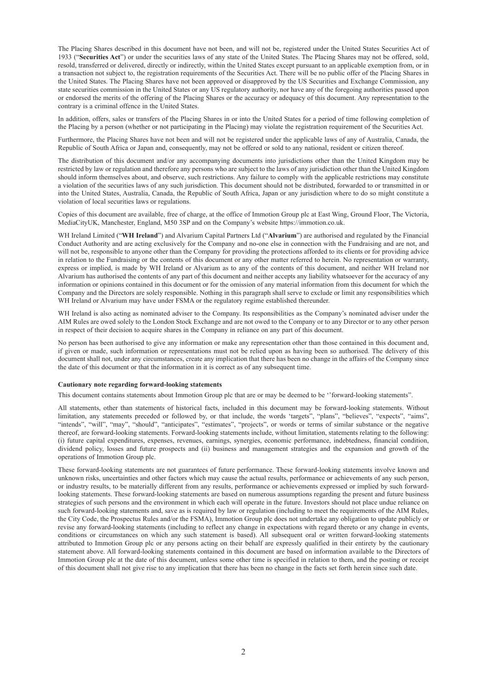The Placing Shares described in this document have not been, and will not be, registered under the United States Securities Act of 1933 ("**Securities Act**") or under the securities laws of any state of the United States. The Placing Shares may not be offered, sold, resold, transferred or delivered, directly or indirectly, within the United States except pursuant to an applicable exemption from, or in a transaction not subject to, the registration requirements of the Securities Act. There will be no public offer of the Placing Shares in the United States. The Placing Shares have not been approved or disapproved by the US Securities and Exchange Commission, any state securities commission in the United States or any US regulatory authority, nor have any of the foregoing authorities passed upon or endorsed the merits of the offering of the Placing Shares or the accuracy or adequacy of this document. Any representation to the contrary is a criminal offence in the United States.

In addition, offers, sales or transfers of the Placing Shares in or into the United States for a period of time following completion of the Placing by a person (whether or not participating in the Placing) may violate the registration requirement of the Securities Act.

Furthermore, the Placing Shares have not been and will not be registered under the applicable laws of any of Australia, Canada, the Republic of South Africa or Japan and, consequently, may not be offered or sold to any national, resident or citizen thereof.

The distribution of this document and/or any accompanying documents into jurisdictions other than the United Kingdom may be restricted by law or regulation and therefore any persons who are subject to the laws of any jurisdiction other than the United Kingdom should inform themselves about, and observe, such restrictions. Any failure to comply with the applicable restrictions may constitute a violation of the securities laws of any such jurisdiction. This document should not be distributed, forwarded to or transmitted in or into the United States, Australia, Canada, the Republic of South Africa, Japan or any jurisdiction where to do so might constitute a violation of local securities laws or regulations.

Copies of this document are available, free of charge, at the office of Immotion Group plc at East Wing, Ground Floor, The Victoria, MediaCityUK, Manchester, England, M50 3SP and on the Company's website https://immotion.co.uk.

WH Ireland Limited ("**WH Ireland**") and Alvarium Capital Partners Ltd ("**Alvarium**") are authorised and regulated by the Financial Conduct Authority and are acting exclusively for the Company and no-one else in connection with the Fundraising and are not, and will not be, responsible to anyone other than the Company for providing the protections afforded to its clients or for providing advice in relation to the Fundraising or the contents of this document or any other matter referred to herein. No representation or warranty, express or implied, is made by WH Ireland or Alvarium as to any of the contents of this document, and neither WH Ireland nor Alvarium has authorised the contents of any part of this document and neither accepts any liability whatsoever for the accuracy of any information or opinions contained in this document or for the omission of any material information from this document for which the Company and the Directors are solely responsible. Nothing in this paragraph shall serve to exclude or limit any responsibilities which WH Ireland or Alvarium may have under FSMA or the regulatory regime established thereunder.

WH Ireland is also acting as nominated adviser to the Company. Its responsibilities as the Company's nominated adviser under the AIM Rules are owed solely to the London Stock Exchange and are not owed to the Company or to any Director or to any other person in respect of their decision to acquire shares in the Company in reliance on any part of this document.

No person has been authorised to give any information or make any representation other than those contained in this document and, if given or made, such information or representations must not be relied upon as having been so authorised. The delivery of this document shall not, under any circumstances, create any implication that there has been no change in the affairs of the Company since the date of this document or that the information in it is correct as of any subsequent time.

#### **Cautionary note regarding forward-looking statements**

This document contains statements about Immotion Group plc that are or may be deemed to be ''forward-looking statements".

All statements, other than statements of historical facts, included in this document may be forward-looking statements. Without limitation, any statements preceded or followed by, or that include, the words 'targets', "plans", "believes", "expects", "aims", "intends", "will", "may", "should", "anticipates", "estimates", "projects", or words or terms of similar substance or the negative thereof, are forward-looking statements. Forward-looking statements include, without limitation, statements relating to the following: (i) future capital expenditures, expenses, revenues, earnings, synergies, economic performance, indebtedness, financial condition, dividend policy, losses and future prospects and (ii) business and management strategies and the expansion and growth of the operations of Immotion Group plc.

These forward-looking statements are not guarantees of future performance. These forward-looking statements involve known and unknown risks, uncertainties and other factors which may cause the actual results, performance or achievements of any such person, or industry results, to be materially different from any results, performance or achievements expressed or implied by such forwardlooking statements. These forward-looking statements are based on numerous assumptions regarding the present and future business strategies of such persons and the environment in which each will operate in the future. Investors should not place undue reliance on such forward-looking statements and, save as is required by law or regulation (including to meet the requirements of the AIM Rules, the City Code, the Prospectus Rules and/or the FSMA), Immotion Group plc does not undertake any obligation to update publicly or revise any forward-looking statements (including to reflect any change in expectations with regard thereto or any change in events, conditions or circumstances on which any such statement is based). All subsequent oral or written forward-looking statements attributed to Immotion Group plc or any persons acting on their behalf are expressly qualified in their entirety by the cautionary statement above. All forward-looking statements contained in this document are based on information available to the Directors of Immotion Group plc at the date of this document, unless some other time is specified in relation to them, and the posting or receipt of this document shall not give rise to any implication that there has been no change in the facts set forth herein since such date.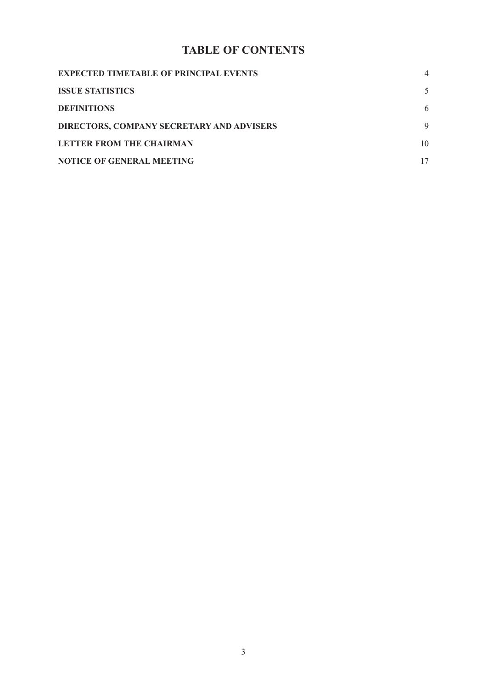# **TABLE OF CONTENTS**

| <b>EXPECTED TIMETABLE OF PRINCIPAL EVENTS</b> |    |
|-----------------------------------------------|----|
| <b>ISSUE STATISTICS</b>                       |    |
| <b>DEFINITIONS</b>                            | 6  |
| DIRECTORS, COMPANY SECRETARY AND ADVISERS     | 9  |
| <b>LETTER FROM THE CHAIRMAN</b>               | 10 |
| <b>NOTICE OF GENERAL MEETING</b>              |    |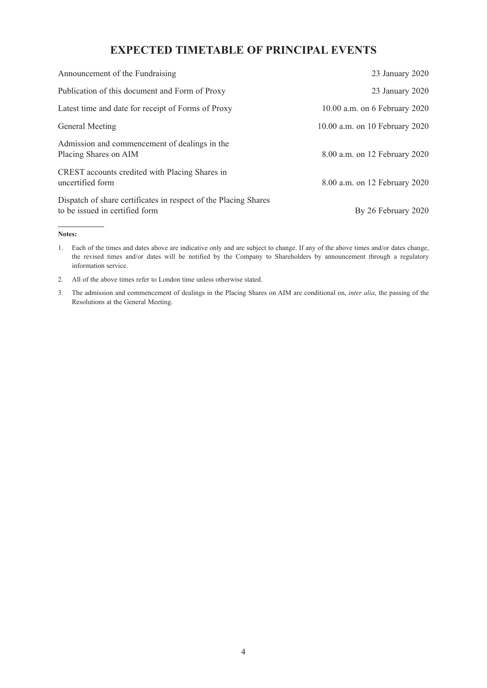## **EXPECTED TIMETABLE OF PRINCIPAL EVENTS**

| Announcement of the Fundraising                                                                   | 23 January 2020                |
|---------------------------------------------------------------------------------------------------|--------------------------------|
| Publication of this document and Form of Proxy                                                    | 23 January 2020                |
| Latest time and date for receipt of Forms of Proxy                                                | 10.00 a.m. on 6 February 2020  |
| General Meeting                                                                                   | 10.00 a.m. on 10 February 2020 |
| Admission and commencement of dealings in the<br>Placing Shares on AIM                            | 8.00 a.m. on 12 February 2020  |
| CREST accounts credited with Placing Shares in<br>uncertified form                                | 8.00 a.m. on 12 February 2020  |
| Dispatch of share certificates in respect of the Placing Shares<br>to be issued in certified form | By 26 February 2020            |

#### **Notes:**

1. Each of the times and dates above are indicative only and are subject to change. If any of the above times and/or dates change, the revised times and/or dates will be notified by the Company to Shareholders by announcement through a regulatory information service.

- 2. All of the above times refer to London time unless otherwise stated.
- 3. The admission and commencement of dealings in the Placing Shares on AIM are conditional on, *inter alia*, the passing of the Resolutions at the General Meeting.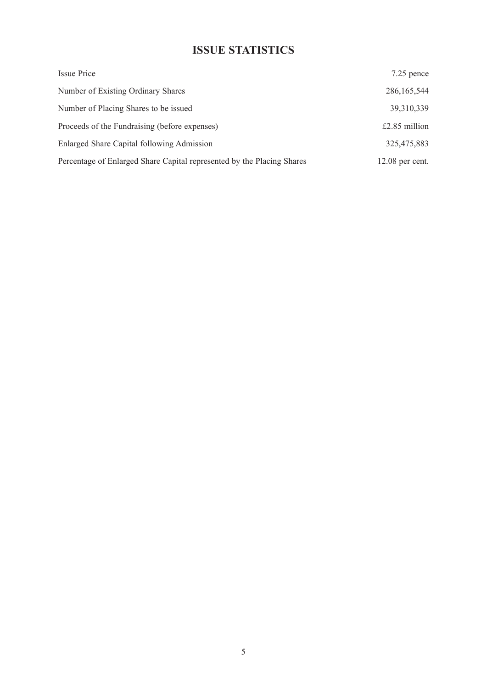# **ISSUE STATISTICS**

| Issue Price                                                            | 7.25 pence        |
|------------------------------------------------------------------------|-------------------|
| Number of Existing Ordinary Shares                                     | 286, 165, 544     |
| Number of Placing Shares to be issued                                  | 39,310,339        |
| Proceeds of the Fundraising (before expenses)                          | $£2.85$ million   |
| Enlarged Share Capital following Admission                             | 325,475,883       |
| Percentage of Enlarged Share Capital represented by the Placing Shares | $12.08$ per cent. |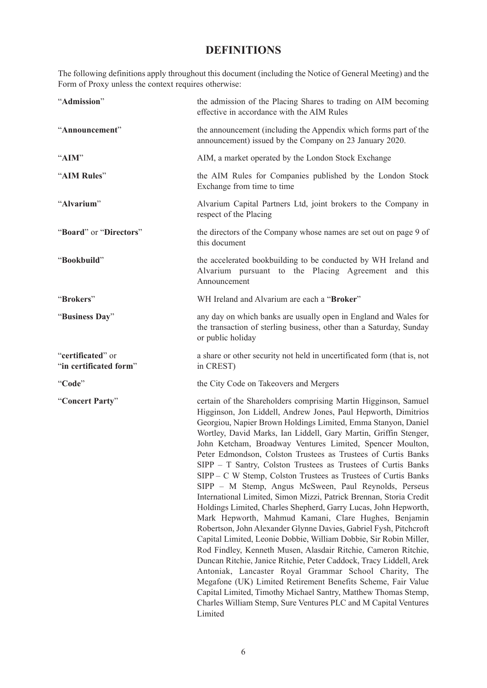# **DEFINITIONS**

The following definitions apply throughout this document (including the Notice of General Meeting) and the Form of Proxy unless the context requires otherwise:

| "Admission"                                 | the admission of the Placing Shares to trading on AIM becoming<br>effective in accordance with the AIM Rules                                                                                                                                                                                                                                                                                                                                                                                                                                                                                                                                                                                                                                                                                                                                                                                                                                                                                                                                                                                                                                                                                                                                                                                                                                                 |
|---------------------------------------------|--------------------------------------------------------------------------------------------------------------------------------------------------------------------------------------------------------------------------------------------------------------------------------------------------------------------------------------------------------------------------------------------------------------------------------------------------------------------------------------------------------------------------------------------------------------------------------------------------------------------------------------------------------------------------------------------------------------------------------------------------------------------------------------------------------------------------------------------------------------------------------------------------------------------------------------------------------------------------------------------------------------------------------------------------------------------------------------------------------------------------------------------------------------------------------------------------------------------------------------------------------------------------------------------------------------------------------------------------------------|
| "Announcement"                              | the announcement (including the Appendix which forms part of the<br>announcement) issued by the Company on 23 January 2020.                                                                                                                                                                                                                                                                                                                                                                                                                                                                                                                                                                                                                                                                                                                                                                                                                                                                                                                                                                                                                                                                                                                                                                                                                                  |
| "AIM"                                       | AIM, a market operated by the London Stock Exchange                                                                                                                                                                                                                                                                                                                                                                                                                                                                                                                                                                                                                                                                                                                                                                                                                                                                                                                                                                                                                                                                                                                                                                                                                                                                                                          |
| "AIM Rules"                                 | the AIM Rules for Companies published by the London Stock<br>Exchange from time to time                                                                                                                                                                                                                                                                                                                                                                                                                                                                                                                                                                                                                                                                                                                                                                                                                                                                                                                                                                                                                                                                                                                                                                                                                                                                      |
| "Alvarium"                                  | Alvarium Capital Partners Ltd, joint brokers to the Company in<br>respect of the Placing                                                                                                                                                                                                                                                                                                                                                                                                                                                                                                                                                                                                                                                                                                                                                                                                                                                                                                                                                                                                                                                                                                                                                                                                                                                                     |
| "Board" or "Directors"                      | the directors of the Company whose names are set out on page 9 of<br>this document                                                                                                                                                                                                                                                                                                                                                                                                                                                                                                                                                                                                                                                                                                                                                                                                                                                                                                                                                                                                                                                                                                                                                                                                                                                                           |
| "Bookbuild"                                 | the accelerated bookbuilding to be conducted by WH Ireland and<br>Alvarium pursuant to the Placing Agreement and this<br>Announcement                                                                                                                                                                                                                                                                                                                                                                                                                                                                                                                                                                                                                                                                                                                                                                                                                                                                                                                                                                                                                                                                                                                                                                                                                        |
| "Brokers"                                   | WH Ireland and Alvarium are each a "Broker"                                                                                                                                                                                                                                                                                                                                                                                                                                                                                                                                                                                                                                                                                                                                                                                                                                                                                                                                                                                                                                                                                                                                                                                                                                                                                                                  |
| "Business Day"                              | any day on which banks are usually open in England and Wales for<br>the transaction of sterling business, other than a Saturday, Sunday<br>or public holiday                                                                                                                                                                                                                                                                                                                                                                                                                                                                                                                                                                                                                                                                                                                                                                                                                                                                                                                                                                                                                                                                                                                                                                                                 |
| "certificated" or<br>"in certificated form" | a share or other security not held in uncertificated form (that is, not<br>in CREST)                                                                                                                                                                                                                                                                                                                                                                                                                                                                                                                                                                                                                                                                                                                                                                                                                                                                                                                                                                                                                                                                                                                                                                                                                                                                         |
| "Code"                                      | the City Code on Takeovers and Mergers                                                                                                                                                                                                                                                                                                                                                                                                                                                                                                                                                                                                                                                                                                                                                                                                                                                                                                                                                                                                                                                                                                                                                                                                                                                                                                                       |
| "Concert Party"                             | certain of the Shareholders comprising Martin Higginson, Samuel<br>Higginson, Jon Liddell, Andrew Jones, Paul Hepworth, Dimitrios<br>Georgiou, Napier Brown Holdings Limited, Emma Stanyon, Daniel<br>Wortley, David Marks, Ian Liddell, Gary Martin, Griffin Stenger,<br>John Ketcham, Broadway Ventures Limited, Spencer Moulton,<br>Peter Edmondson, Colston Trustees as Trustees of Curtis Banks<br>SIPP - T Santry, Colston Trustees as Trustees of Curtis Banks<br>SIPP – C W Stemp, Colston Trustees as Trustees of Curtis Banks<br>SIPP - M Stemp, Angus McSween, Paul Reynolds, Perseus<br>International Limited, Simon Mizzi, Patrick Brennan, Storia Credit<br>Holdings Limited, Charles Shepherd, Garry Lucas, John Hepworth,<br>Mark Hepworth, Mahmud Kamani, Clare Hughes, Benjamin<br>Robertson, John Alexander Glynne Davies, Gabriel Fysh, Pitchcroft<br>Capital Limited, Leonie Dobbie, William Dobbie, Sir Robin Miller,<br>Rod Findley, Kenneth Musen, Alasdair Ritchie, Cameron Ritchie,<br>Duncan Ritchie, Janice Ritchie, Peter Caddock, Tracy Liddell, Arek<br>Antoniak, Lancaster Royal Grammar School Charity, The<br>Megafone (UK) Limited Retirement Benefits Scheme, Fair Value<br>Capital Limited, Timothy Michael Santry, Matthew Thomas Stemp,<br>Charles William Stemp, Sure Ventures PLC and M Capital Ventures<br>Limited |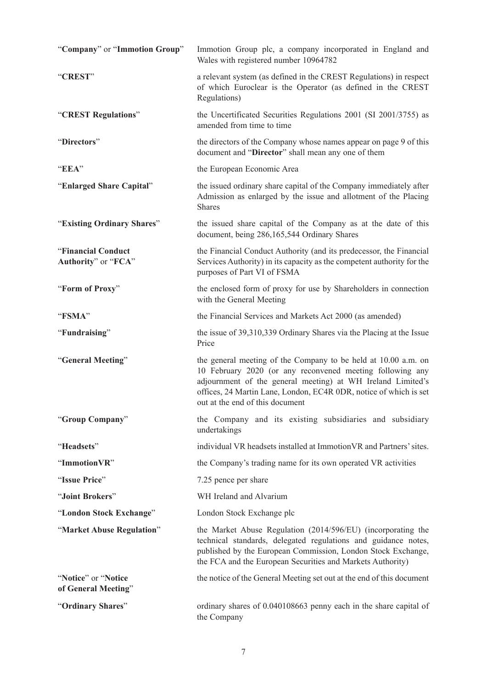| "Company" or "Immotion Group"              | Immotion Group plc, a company incorporated in England and<br>Wales with registered number 10964782                                                                                                                                                                                                 |
|--------------------------------------------|----------------------------------------------------------------------------------------------------------------------------------------------------------------------------------------------------------------------------------------------------------------------------------------------------|
| "CREST"                                    | a relevant system (as defined in the CREST Regulations) in respect<br>of which Euroclear is the Operator (as defined in the CREST<br>Regulations)                                                                                                                                                  |
| "CREST Regulations"                        | the Uncertificated Securities Regulations 2001 (SI 2001/3755) as<br>amended from time to time                                                                                                                                                                                                      |
| "Directors"                                | the directors of the Company whose names appear on page 9 of this<br>document and "Director" shall mean any one of them                                                                                                                                                                            |
| "EEA"                                      | the European Economic Area                                                                                                                                                                                                                                                                         |
| "Enlarged Share Capital"                   | the issued ordinary share capital of the Company immediately after<br>Admission as enlarged by the issue and allotment of the Placing<br><b>Shares</b>                                                                                                                                             |
| "Existing Ordinary Shares"                 | the issued share capital of the Company as at the date of this<br>document, being 286,165,544 Ordinary Shares                                                                                                                                                                                      |
| "Financial Conduct<br>Authority" or "FCA"  | the Financial Conduct Authority (and its predecessor, the Financial<br>Services Authority) in its capacity as the competent authority for the<br>purposes of Part VI of FSMA                                                                                                                       |
| "Form of Proxy"                            | the enclosed form of proxy for use by Shareholders in connection<br>with the General Meeting                                                                                                                                                                                                       |
| "FSMA"                                     | the Financial Services and Markets Act 2000 (as amended)                                                                                                                                                                                                                                           |
| "Fundraising"                              | the issue of 39,310,339 Ordinary Shares via the Placing at the Issue<br>Price                                                                                                                                                                                                                      |
| "General Meeting"                          | the general meeting of the Company to be held at 10.00 a.m. on<br>10 February 2020 (or any reconvened meeting following any<br>adjournment of the general meeting) at WH Ireland Limited's<br>offices, 24 Martin Lane, London, EC4R 0DR, notice of which is set<br>out at the end of this document |
| "Group Company"                            | the Company and its existing subsidiaries and subsidiary<br>undertakings                                                                                                                                                                                                                           |
| "Headsets"                                 | individual VR headsets installed at Immotion VR and Partners' sites.                                                                                                                                                                                                                               |
| "ImmotionVR"                               | the Company's trading name for its own operated VR activities                                                                                                                                                                                                                                      |
| "Issue Price"                              | 7.25 pence per share                                                                                                                                                                                                                                                                               |
| "Joint Brokers"                            | WH Ireland and Alvarium                                                                                                                                                                                                                                                                            |
| "London Stock Exchange"                    | London Stock Exchange plc                                                                                                                                                                                                                                                                          |
| "Market Abuse Regulation"                  | the Market Abuse Regulation (2014/596/EU) (incorporating the<br>technical standards, delegated regulations and guidance notes,<br>published by the European Commission, London Stock Exchange,<br>the FCA and the European Securities and Markets Authority)                                       |
| "Notice" or "Notice<br>of General Meeting" | the notice of the General Meeting set out at the end of this document                                                                                                                                                                                                                              |
| "Ordinary Shares"                          | ordinary shares of 0.040108663 penny each in the share capital of<br>the Company                                                                                                                                                                                                                   |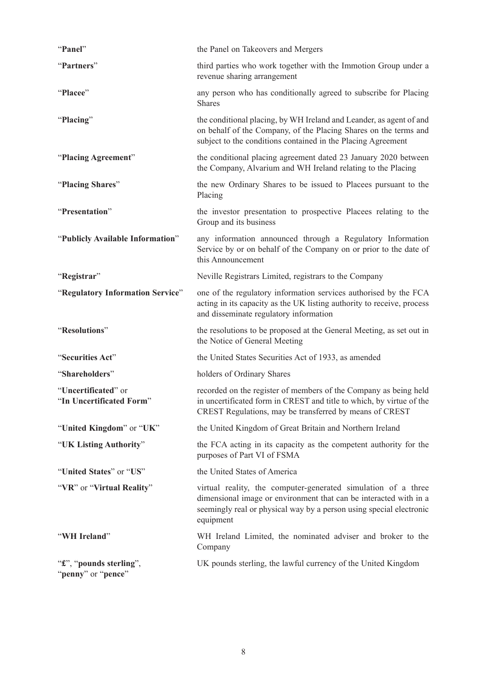| "Panel"                                         | the Panel on Takeovers and Mergers                                                                                                                                                                                     |
|-------------------------------------------------|------------------------------------------------------------------------------------------------------------------------------------------------------------------------------------------------------------------------|
| "Partners"                                      | third parties who work together with the Immotion Group under a<br>revenue sharing arrangement                                                                                                                         |
| "Placee"                                        | any person who has conditionally agreed to subscribe for Placing<br><b>Shares</b>                                                                                                                                      |
| "Placing"                                       | the conditional placing, by WH Ireland and Leander, as agent of and<br>on behalf of the Company, of the Placing Shares on the terms and<br>subject to the conditions contained in the Placing Agreement                |
| "Placing Agreement"                             | the conditional placing agreement dated 23 January 2020 between<br>the Company, Alvarium and WH Ireland relating to the Placing                                                                                        |
| "Placing Shares"                                | the new Ordinary Shares to be issued to Placees pursuant to the<br>Placing                                                                                                                                             |
| "Presentation"                                  | the investor presentation to prospective Placees relating to the<br>Group and its business                                                                                                                             |
| "Publicly Available Information"                | any information announced through a Regulatory Information<br>Service by or on behalf of the Company on or prior to the date of<br>this Announcement                                                                   |
| "Registrar"                                     | Neville Registrars Limited, registrars to the Company                                                                                                                                                                  |
| "Regulatory Information Service"                | one of the regulatory information services authorised by the FCA<br>acting in its capacity as the UK listing authority to receive, process<br>and disseminate regulatory information                                   |
| "Resolutions"                                   | the resolutions to be proposed at the General Meeting, as set out in<br>the Notice of General Meeting                                                                                                                  |
| "Securities Act"                                | the United States Securities Act of 1933, as amended                                                                                                                                                                   |
| "Shareholders"                                  | holders of Ordinary Shares                                                                                                                                                                                             |
| "Uncertificated" or<br>"In Uncertificated Form" | recorded on the register of members of the Company as being held<br>in uncertificated form in CREST and title to which, by virtue of the<br>CREST Regulations, may be transferred by means of CREST                    |
| "United Kingdom" or "UK"                        | the United Kingdom of Great Britain and Northern Ireland                                                                                                                                                               |
| "UK Listing Authority"                          | the FCA acting in its capacity as the competent authority for the<br>purposes of Part VI of FSMA                                                                                                                       |
| "United States" or "US"                         | the United States of America                                                                                                                                                                                           |
| "VR" or "Virtual Reality"                       | virtual reality, the computer-generated simulation of a three<br>dimensional image or environment that can be interacted with in a<br>seemingly real or physical way by a person using special electronic<br>equipment |
| "WH Ireland"                                    | WH Ireland Limited, the nominated adviser and broker to the<br>Company                                                                                                                                                 |
| "£", "pounds sterling",<br>"penny" or "pence"   | UK pounds sterling, the lawful currency of the United Kingdom                                                                                                                                                          |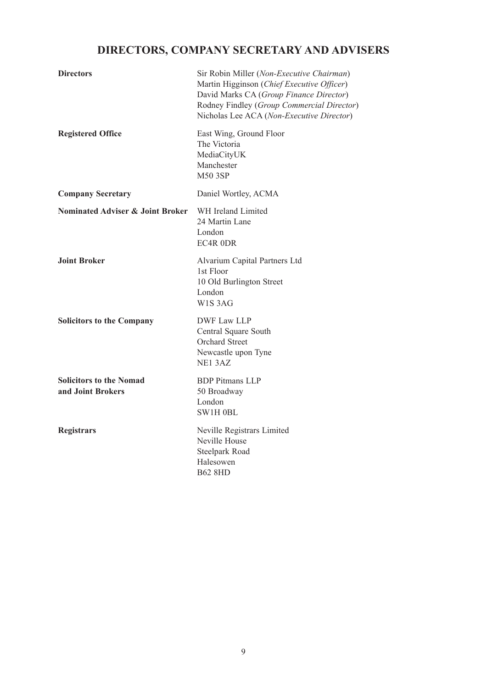# **DIRECTORS, COMPANY SECRETARY AND ADVISERS**

| <b>Directors</b>                                    | Sir Robin Miller (Non-Executive Chairman)<br>Martin Higginson (Chief Executive Officer)<br>David Marks CA (Group Finance Director)<br>Rodney Findley (Group Commercial Director)<br>Nicholas Lee ACA (Non-Executive Director) |
|-----------------------------------------------------|-------------------------------------------------------------------------------------------------------------------------------------------------------------------------------------------------------------------------------|
| <b>Registered Office</b>                            | East Wing, Ground Floor<br>The Victoria<br>MediaCityUK<br>Manchester<br><b>M50 3SP</b>                                                                                                                                        |
| <b>Company Secretary</b>                            | Daniel Wortley, ACMA                                                                                                                                                                                                          |
| <b>Nominated Adviser &amp; Joint Broker</b>         | WH Ireland Limited<br>24 Martin Lane<br>London<br>EC4R ODR                                                                                                                                                                    |
| <b>Joint Broker</b>                                 | Alvarium Capital Partners Ltd<br>1st Floor<br>10 Old Burlington Street<br>London<br>W1S3AG                                                                                                                                    |
| <b>Solicitors to the Company</b>                    | <b>DWF Law LLP</b><br>Central Square South<br><b>Orchard Street</b><br>Newcastle upon Tyne<br>NE13AZ                                                                                                                          |
| <b>Solicitors to the Nomad</b><br>and Joint Brokers | <b>BDP</b> Pitmans LLP<br>50 Broadway<br>London<br>SW1H 0BL                                                                                                                                                                   |
| <b>Registrars</b>                                   | Neville Registrars Limited<br>Neville House<br>Steelpark Road<br>Halesowen<br><b>B62 8HD</b>                                                                                                                                  |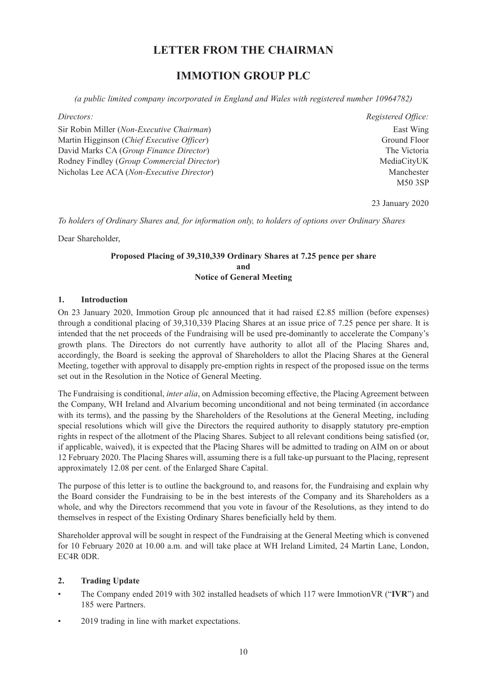# **LETTER FROM THE CHAIRMAN**

# **IMMOTION GROUP PLC**

*(a public limited company incorporated in England and Wales with registered number 10964782)*

*Directors:*

Sir Robin Miller (*Non-Executive Chairman*) Martin Higginson (*Chief Executive Officer*) David Marks CA (*Group Finance Director*) Rodney Findley (*Group Commercial Director*) Nicholas Lee ACA (*Non-Executive Director*)

*Registered Office:* East Wing Ground Floor The Victoria MediaCityUK Manchester M50 3SP

23 January 2020

*To holders of Ordinary Shares and, for information only, to holders of options over Ordinary Shares*

Dear Shareholder,

#### **Proposed Placing of 39,310,339 Ordinary Shares at 7.25 pence per share and Notice of General Meeting**

#### **1. Introduction**

On 23 January 2020, Immotion Group plc announced that it had raised £2.85 million (before expenses) through a conditional placing of 39,310,339 Placing Shares at an issue price of 7.25 pence per share. It is intended that the net proceeds of the Fundraising will be used pre-dominantly to accelerate the Company's growth plans. The Directors do not currently have authority to allot all of the Placing Shares and, accordingly, the Board is seeking the approval of Shareholders to allot the Placing Shares at the General Meeting, together with approval to disapply pre-emption rights in respect of the proposed issue on the terms set out in the Resolution in the Notice of General Meeting.

The Fundraising is conditional, *inter alia*, on Admission becoming effective, the Placing Agreement between the Company, WH Ireland and Alvarium becoming unconditional and not being terminated (in accordance with its terms), and the passing by the Shareholders of the Resolutions at the General Meeting, including special resolutions which will give the Directors the required authority to disapply statutory pre-emption rights in respect of the allotment of the Placing Shares. Subject to all relevant conditions being satisfied (or, if applicable, waived), it is expected that the Placing Shares will be admitted to trading on AIM on or about 12 February 2020. The Placing Shares will, assuming there is a full take-up pursuant to the Placing, represent approximately 12.08 per cent. of the Enlarged Share Capital.

The purpose of this letter is to outline the background to, and reasons for, the Fundraising and explain why the Board consider the Fundraising to be in the best interests of the Company and its Shareholders as a whole, and why the Directors recommend that you vote in favour of the Resolutions, as they intend to do themselves in respect of the Existing Ordinary Shares beneficially held by them.

Shareholder approval will be sought in respect of the Fundraising at the General Meeting which is convened for 10 February 2020 at 10.00 a.m. and will take place at WH Ireland Limited, 24 Martin Lane, London, EC4R 0DR.

#### **2. Trading Update**

- The Company ended 2019 with 302 installed headsets of which 117 were ImmotionVR ("**IVR**") and 185 were Partners.
- 2019 trading in line with market expectations.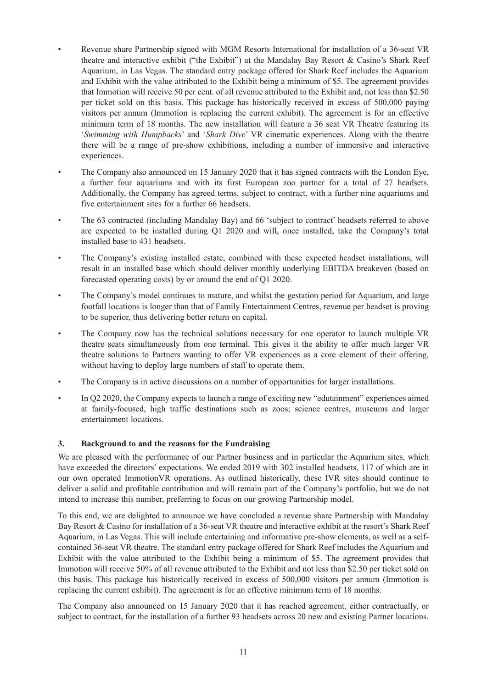- Revenue share Partnership signed with MGM Resorts International for installation of a 36-seat VR theatre and interactive exhibit ("the Exhibit") at the Mandalay Bay Resort & Casino's Shark Reef Aquarium, in Las Vegas. The standard entry package offered for Shark Reef includes the Aquarium and Exhibit with the value attributed to the Exhibit being a minimum of \$5. The agreement provides that Immotion will receive 50 per cent. of all revenue attributed to the Exhibit and, not less than \$2.50 per ticket sold on this basis. This package has historically received in excess of 500,000 paying visitors per annum (Immotion is replacing the current exhibit). The agreement is for an effective minimum term of 18 months. The new installation will feature a 36 seat VR Theatre featuring its '*Swimming with Humpbacks*' and '*Shark Dive*' VR cinematic experiences. Along with the theatre there will be a range of pre-show exhibitions, including a number of immersive and interactive experiences.
- The Company also announced on 15 January 2020 that it has signed contracts with the London Eye, a further four aquariums and with its first European zoo partner for a total of 27 headsets. Additionally, the Company has agreed terms, subject to contract, with a further nine aquariums and five entertainment sites for a further 66 headsets.
- The 63 contracted (including Mandalay Bay) and 66 'subject to contract' headsets referred to above are expected to be installed during Q1 2020 and will, once installed, take the Company's total installed base to 431 headsets.
- The Company's existing installed estate, combined with these expected headset installations, will result in an installed base which should deliver monthly underlying EBITDA breakeven (based on forecasted operating costs) by or around the end of Q1 2020.
- The Company's model continues to mature, and whilst the gestation period for Aquarium, and large footfall locations is longer than that of Family Entertainment Centres, revenue per headset is proving to be superior, thus delivering better return on capital.
- The Company now has the technical solutions necessary for one operator to launch multiple VR theatre seats simultaneously from one terminal. This gives it the ability to offer much larger VR theatre solutions to Partners wanting to offer VR experiences as a core element of their offering, without having to deploy large numbers of staff to operate them.
- The Company is in active discussions on a number of opportunities for larger installations.
- In Q2 2020, the Company expects to launch a range of exciting new "edutainment" experiences aimed at family-focused, high traffic destinations such as zoos; science centres, museums and larger entertainment locations.

#### **3. Background to and the reasons for the Fundraising**

We are pleased with the performance of our Partner business and in particular the Aquarium sites, which have exceeded the directors' expectations. We ended 2019 with 302 installed headsets, 117 of which are in our own operated ImmotionVR operations. As outlined historically, these IVR sites should continue to deliver a solid and profitable contribution and will remain part of the Company's portfolio, but we do not intend to increase this number, preferring to focus on our growing Partnership model.

To this end, we are delighted to announce we have concluded a revenue share Partnership with Mandalay Bay Resort & Casino for installation of a 36-seat VR theatre and interactive exhibit at the resort's Shark Reef Aquarium, in Las Vegas. This will include entertaining and informative pre-show elements, as well as a selfcontained 36-seat VR theatre. The standard entry package offered for Shark Reef includes the Aquarium and Exhibit with the value attributed to the Exhibit being a minimum of \$5. The agreement provides that Immotion will receive 50% of all revenue attributed to the Exhibit and not less than \$2.50 per ticket sold on this basis. This package has historically received in excess of 500,000 visitors per annum (Immotion is replacing the current exhibit). The agreement is for an effective minimum term of 18 months.

The Company also announced on 15 January 2020 that it has reached agreement, either contractually, or subject to contract, for the installation of a further 93 headsets across 20 new and existing Partner locations.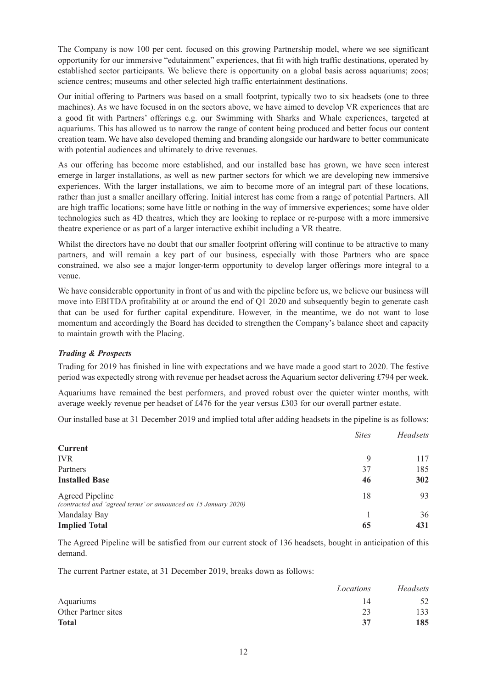The Company is now 100 per cent. focused on this growing Partnership model, where we see significant opportunity for our immersive "edutainment" experiences, that fit with high traffic destinations, operated by established sector participants. We believe there is opportunity on a global basis across aquariums; zoos; science centres; museums and other selected high traffic entertainment destinations.

Our initial offering to Partners was based on a small footprint, typically two to six headsets (one to three machines). As we have focused in on the sectors above, we have aimed to develop VR experiences that are a good fit with Partners' offerings e.g. our Swimming with Sharks and Whale experiences, targeted at aquariums. This has allowed us to narrow the range of content being produced and better focus our content creation team. We have also developed theming and branding alongside our hardware to better communicate with potential audiences and ultimately to drive revenues.

As our offering has become more established, and our installed base has grown, we have seen interest emerge in larger installations, as well as new partner sectors for which we are developing new immersive experiences. With the larger installations, we aim to become more of an integral part of these locations, rather than just a smaller ancillary offering. Initial interest has come from a range of potential Partners. All are high traffic locations; some have little or nothing in the way of immersive experiences; some have older technologies such as 4D theatres, which they are looking to replace or re-purpose with a more immersive theatre experience or as part of a larger interactive exhibit including a VR theatre.

Whilst the directors have no doubt that our smaller footprint offering will continue to be attractive to many partners, and will remain a key part of our business, especially with those Partners who are space constrained, we also see a major longer-term opportunity to develop larger offerings more integral to a venue.

We have considerable opportunity in front of us and with the pipeline before us, we believe our business will move into EBITDA profitability at or around the end of Q1 2020 and subsequently begin to generate cash that can be used for further capital expenditure. However, in the meantime, we do not want to lose momentum and accordingly the Board has decided to strengthen the Company's balance sheet and capacity to maintain growth with the Placing.

#### *Trading & Prospects*

Trading for 2019 has finished in line with expectations and we have made a good start to 2020. The festive period was expectedly strong with revenue per headset across the Aquarium sector delivering £794 per week.

Aquariums have remained the best performers, and proved robust over the quieter winter months, with average weekly revenue per headset of £476 for the year versus £303 for our overall partner estate.

Our installed base at 31 December 2019 and implied total after adding headsets in the pipeline is as follows:

|                                                                                           | <b>Sites</b> | Headsets |
|-------------------------------------------------------------------------------------------|--------------|----------|
| <b>Current</b>                                                                            |              |          |
| <b>IVR</b>                                                                                | 9            | 117      |
| Partners                                                                                  | 37           | 185      |
| <b>Installed Base</b>                                                                     | 46           | 302      |
| <b>Agreed Pipeline</b><br>(contracted and 'agreed terms' or announced on 15 January 2020) | 18           | 93       |
| Mandalay Bay                                                                              |              | 36       |
| <b>Implied Total</b>                                                                      | 65           | 431      |

The Agreed Pipeline will be satisfied from our current stock of 136 headsets, bought in anticipation of this demand.

The current Partner estate, at 31 December 2019, breaks down as follows:

|                     | Locations | <b>Headsets</b> |
|---------------------|-----------|-----------------|
| Aquariums           | 14        | 52              |
| Other Partner sites | 23        | 133             |
| <b>Total</b>        | 37        | 185             |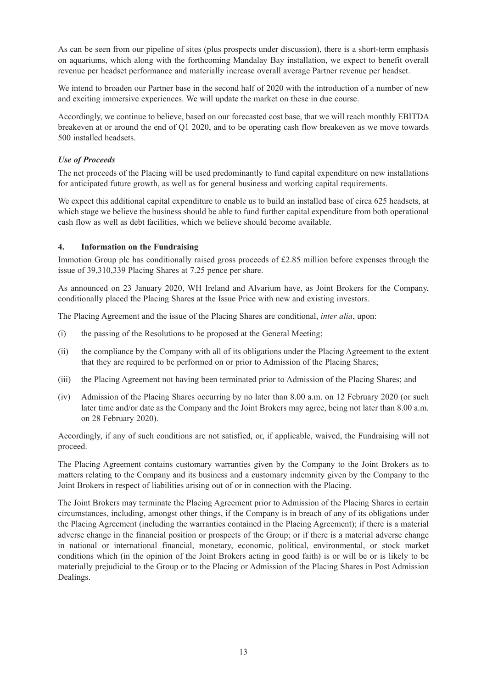As can be seen from our pipeline of sites (plus prospects under discussion), there is a short-term emphasis on aquariums, which along with the forthcoming Mandalay Bay installation, we expect to benefit overall revenue per headset performance and materially increase overall average Partner revenue per headset.

We intend to broaden our Partner base in the second half of 2020 with the introduction of a number of new and exciting immersive experiences. We will update the market on these in due course.

Accordingly, we continue to believe, based on our forecasted cost base, that we will reach monthly EBITDA breakeven at or around the end of Q1 2020, and to be operating cash flow breakeven as we move towards 500 installed headsets.

#### *Use of Proceeds*

The net proceeds of the Placing will be used predominantly to fund capital expenditure on new installations for anticipated future growth, as well as for general business and working capital requirements.

We expect this additional capital expenditure to enable us to build an installed base of circa 625 headsets, at which stage we believe the business should be able to fund further capital expenditure from both operational cash flow as well as debt facilities, which we believe should become available.

#### **4. Information on the Fundraising**

Immotion Group plc has conditionally raised gross proceeds of £2.85 million before expenses through the issue of 39,310,339 Placing Shares at 7.25 pence per share.

As announced on 23 January 2020, WH Ireland and Alvarium have, as Joint Brokers for the Company, conditionally placed the Placing Shares at the Issue Price with new and existing investors.

The Placing Agreement and the issue of the Placing Shares are conditional, *inter alia*, upon:

- (i) the passing of the Resolutions to be proposed at the General Meeting;
- (ii) the compliance by the Company with all of its obligations under the Placing Agreement to the extent that they are required to be performed on or prior to Admission of the Placing Shares;
- (iii) the Placing Agreement not having been terminated prior to Admission of the Placing Shares; and
- (iv) Admission of the Placing Shares occurring by no later than 8.00 a.m. on 12 February 2020 (or such later time and/or date as the Company and the Joint Brokers may agree, being not later than 8.00 a.m. on 28 February 2020).

Accordingly, if any of such conditions are not satisfied, or, if applicable, waived, the Fundraising will not proceed.

The Placing Agreement contains customary warranties given by the Company to the Joint Brokers as to matters relating to the Company and its business and a customary indemnity given by the Company to the Joint Brokers in respect of liabilities arising out of or in connection with the Placing.

The Joint Brokers may terminate the Placing Agreement prior to Admission of the Placing Shares in certain circumstances, including, amongst other things, if the Company is in breach of any of its obligations under the Placing Agreement (including the warranties contained in the Placing Agreement); if there is a material adverse change in the financial position or prospects of the Group; or if there is a material adverse change in national or international financial, monetary, economic, political, environmental, or stock market conditions which (in the opinion of the Joint Brokers acting in good faith) is or will be or is likely to be materially prejudicial to the Group or to the Placing or Admission of the Placing Shares in Post Admission Dealings.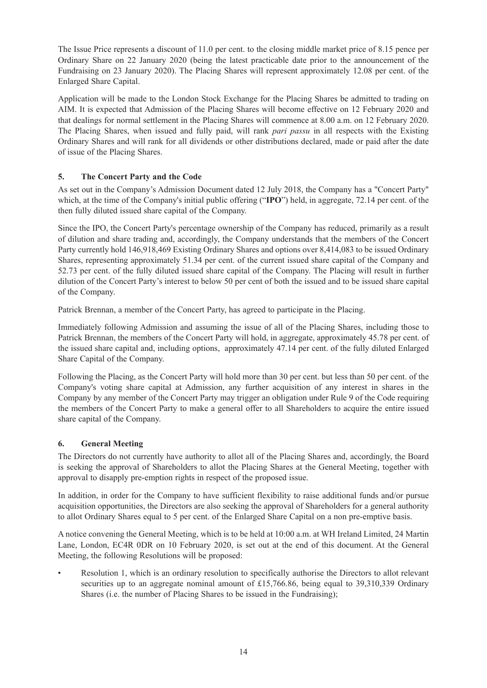The Issue Price represents a discount of 11.0 per cent. to the closing middle market price of 8.15 pence per Ordinary Share on 22 January 2020 (being the latest practicable date prior to the announcement of the Fundraising on 23 January 2020). The Placing Shares will represent approximately 12.08 per cent. of the Enlarged Share Capital.

Application will be made to the London Stock Exchange for the Placing Shares be admitted to trading on AIM. It is expected that Admission of the Placing Shares will become effective on 12 February 2020 and that dealings for normal settlement in the Placing Shares will commence at 8.00 a.m. on 12 February 2020. The Placing Shares, when issued and fully paid, will rank *pari passu* in all respects with the Existing Ordinary Shares and will rank for all dividends or other distributions declared, made or paid after the date of issue of the Placing Shares.

#### **5. The Concert Party and the Code**

As set out in the Company's Admission Document dated 12 July 2018, the Company has a "Concert Party" which, at the time of the Company's initial public offering ("**IPO**") held, in aggregate, 72.14 per cent. of the then fully diluted issued share capital of the Company.

Since the IPO, the Concert Party's percentage ownership of the Company has reduced, primarily as a result of dilution and share trading and, accordingly, the Company understands that the members of the Concert Party currently hold 146,918,469 Existing Ordinary Shares and options over 8,414,083 to be issued Ordinary Shares, representing approximately 51.34 per cent. of the current issued share capital of the Company and 52.73 per cent. of the fully diluted issued share capital of the Company. The Placing will result in further dilution of the Concert Party's interest to below 50 per cent of both the issued and to be issued share capital of the Company.

Patrick Brennan, a member of the Concert Party, has agreed to participate in the Placing.

Immediately following Admission and assuming the issue of all of the Placing Shares, including those to Patrick Brennan, the members of the Concert Party will hold, in aggregate, approximately 45.78 per cent. of the issued share capital and, including options, approximately 47.14 per cent. of the fully diluted Enlarged Share Capital of the Company.

Following the Placing, as the Concert Party will hold more than 30 per cent. but less than 50 per cent. of the Company's voting share capital at Admission, any further acquisition of any interest in shares in the Company by any member of the Concert Party may trigger an obligation under Rule 9 of the Code requiring the members of the Concert Party to make a general offer to all Shareholders to acquire the entire issued share capital of the Company.

#### **6. General Meeting**

The Directors do not currently have authority to allot all of the Placing Shares and, accordingly, the Board is seeking the approval of Shareholders to allot the Placing Shares at the General Meeting, together with approval to disapply pre-emption rights in respect of the proposed issue.

In addition, in order for the Company to have sufficient flexibility to raise additional funds and/or pursue acquisition opportunities, the Directors are also seeking the approval of Shareholders for a general authority to allot Ordinary Shares equal to 5 per cent. of the Enlarged Share Capital on a non pre-emptive basis.

A notice convening the General Meeting, which is to be held at 10:00 a.m. at WH Ireland Limited, 24 Martin Lane, London, EC4R 0DR on 10 February 2020, is set out at the end of this document. At the General Meeting, the following Resolutions will be proposed:

• Resolution 1, which is an ordinary resolution to specifically authorise the Directors to allot relevant securities up to an aggregate nominal amount of £15,766.86, being equal to 39,310,339 Ordinary Shares (i.e. the number of Placing Shares to be issued in the Fundraising);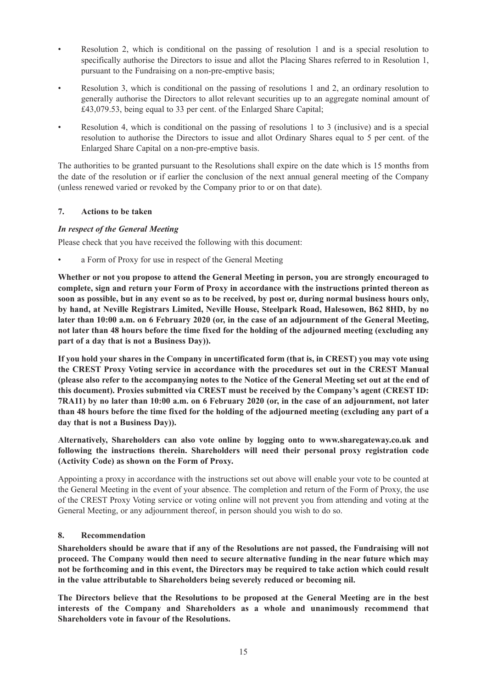- Resolution 2, which is conditional on the passing of resolution 1 and is a special resolution to specifically authorise the Directors to issue and allot the Placing Shares referred to in Resolution 1, pursuant to the Fundraising on a non-pre-emptive basis;
- Resolution 3, which is conditional on the passing of resolutions 1 and 2, an ordinary resolution to generally authorise the Directors to allot relevant securities up to an aggregate nominal amount of £43,079.53, being equal to 33 per cent. of the Enlarged Share Capital;
- Resolution 4, which is conditional on the passing of resolutions 1 to 3 (inclusive) and is a special resolution to authorise the Directors to issue and allot Ordinary Shares equal to 5 per cent. of the Enlarged Share Capital on a non-pre-emptive basis.

The authorities to be granted pursuant to the Resolutions shall expire on the date which is 15 months from the date of the resolution or if earlier the conclusion of the next annual general meeting of the Company (unless renewed varied or revoked by the Company prior to or on that date).

#### **7. Actions to be taken**

#### *In respect of the General Meeting*

Please check that you have received the following with this document:

a Form of Proxy for use in respect of the General Meeting

**Whether or not you propose to attend the General Meeting in person, you are strongly encouraged to complete, sign and return your Form of Proxy in accordance with the instructions printed thereon as** soon as possible, but in any event so as to be received, by post or, during normal business hours only, **by hand, at Neville Registrars Limited, Neville House, Steelpark Road, Halesowen, B62 8HD, by no** later than 10:00 a.m. on 6 February 2020 (or, in the case of an adjournment of the General Meeting, not later than 48 hours before the time fixed for the holding of the adjourned meeting (excluding any **part of a day that is not a Business Day)).**

If you hold your shares in the Company in uncertificated form (that is, in CREST) you may vote using **the CREST Proxy Voting service in accordance with the procedures set out in the CREST Manual** (please also refer to the accompanying notes to the Notice of the General Meeting set out at the end of **this document). Proxies submitted via CREST must be received by the Company's agent (CREST ID:** 7RA11) by no later than 10:00 a.m. on 6 February 2020 (or, in the case of an adiournment, not later than 48 hours before the time fixed for the holding of the adjourned meeting (excluding any part of a **day that is not a Business Day)).**

**Alternatively, Shareholders can also vote online by logging onto to www.sharegateway.co.uk and following the instructions therein. Shareholders will need their personal proxy registration code (Activity Code) as shown on the Form of Proxy.**

Appointing a proxy in accordance with the instructions set out above will enable your vote to be counted at the General Meeting in the event of your absence. The completion and return of the Form of Proxy, the use of the CREST Proxy Voting service or voting online will not prevent you from attending and voting at the General Meeting, or any adjournment thereof, in person should you wish to do so.

#### **8. Recommendation**

**Shareholders should be aware that if any of the Resolutions are not passed, the Fundraising will not proceed. The Company would then need to secure alternative funding in the near future which may** not be forthcoming and in this event, the Directors may be required to take action which could result **in the value attributable to Shareholders being severely reduced or becoming nil.**

**The Directors believe that the Resolutions to be proposed at the General Meeting are in the best interests of the Company and Shareholders as a whole and unanimously recommend that Shareholders vote in favour of the Resolutions.**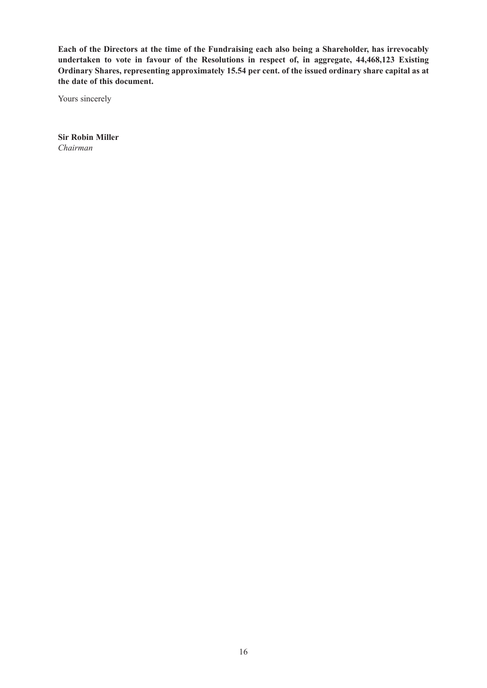**Each of the Directors at the time of the Fundraising each also being a Shareholder, has irrevocably undertaken to vote in favour of the Resolutions in respect of, in aggregate, 44,468,123 Existing Ordinary Shares, representing approximately 15.54 per cent. of the issued ordinary share capital as at the date of this document.**

Yours sincerely

**Sir Robin Miller** *Chairman*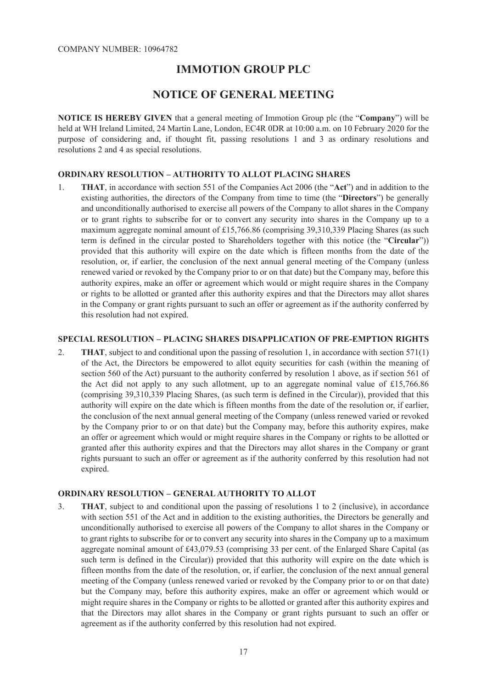### **IMMOTION GROUP PLC**

### **NOTICE OF GENERAL MEETING**

**NOTICE IS HEREBY GIVEN** that a general meeting of Immotion Group plc (the "**Company**") will be held at WH Ireland Limited, 24 Martin Lane, London, EC4R 0DR at 10:00 a.m. on 10 February 2020 for the purpose of considering and, if thought fit, passing resolutions 1 and 3 as ordinary resolutions and resolutions 2 and 4 as special resolutions.

#### **ORDINARY RESOLUTION – AUTHORITY TO ALLOT PLACING SHARES**

1. **THAT**, in accordance with section 551 of the Companies Act 2006 (the "**Act**") and in addition to the existing authorities, the directors of the Company from time to time (the "**Directors**") be generally and unconditionally authorised to exercise all powers of the Company to allot shares in the Company or to grant rights to subscribe for or to convert any security into shares in the Company up to a maximum aggregate nominal amount of £15,766.86 (comprising 39,310,339 Placing Shares (as such term is defined in the circular posted to Shareholders together with this notice (the "**Circular**")) provided that this authority will expire on the date which is fifteen months from the date of the resolution, or, if earlier, the conclusion of the next annual general meeting of the Company (unless renewed varied or revoked by the Company prior to or on that date) but the Company may, before this authority expires, make an offer or agreement which would or might require shares in the Company or rights to be allotted or granted after this authority expires and that the Directors may allot shares in the Company or grant rights pursuant to such an offer or agreement as if the authority conferred by this resolution had not expired.

#### **SPECIAL RESOLUTION – PLACING SHARES DISAPPLICATION OF PRE-EMPTION RIGHTS**

2. **THAT**, subject to and conditional upon the passing of resolution 1, in accordance with section 571(1) of the Act, the Directors be empowered to allot equity securities for cash (within the meaning of section 560 of the Act) pursuant to the authority conferred by resolution 1 above, as if section 561 of the Act did not apply to any such allotment, up to an aggregate nominal value of £15,766.86 (comprising 39,310,339 Placing Shares, (as such term is defined in the Circular)), provided that this authority will expire on the date which is fifteen months from the date of the resolution or, if earlier, the conclusion of the next annual general meeting of the Company (unless renewed varied or revoked by the Company prior to or on that date) but the Company may, before this authority expires, make an offer or agreement which would or might require shares in the Company or rights to be allotted or granted after this authority expires and that the Directors may allot shares in the Company or grant rights pursuant to such an offer or agreement as if the authority conferred by this resolution had not expired.

#### **ORDINARY RESOLUTION – GENERAL AUTHORITY TO ALLOT**

3. **THAT**, subject to and conditional upon the passing of resolutions 1 to 2 (inclusive), in accordance with section 551 of the Act and in addition to the existing authorities, the Directors be generally and unconditionally authorised to exercise all powers of the Company to allot shares in the Company or to grant rights to subscribe for or to convert any security into shares in the Company up to a maximum aggregate nominal amount of £43,079.53 (comprising 33 per cent. of the Enlarged Share Capital (as such term is defined in the Circular)) provided that this authority will expire on the date which is fifteen months from the date of the resolution, or, if earlier, the conclusion of the next annual general meeting of the Company (unless renewed varied or revoked by the Company prior to or on that date) but the Company may, before this authority expires, make an offer or agreement which would or might require shares in the Company or rights to be allotted or granted after this authority expires and that the Directors may allot shares in the Company or grant rights pursuant to such an offer or agreement as if the authority conferred by this resolution had not expired.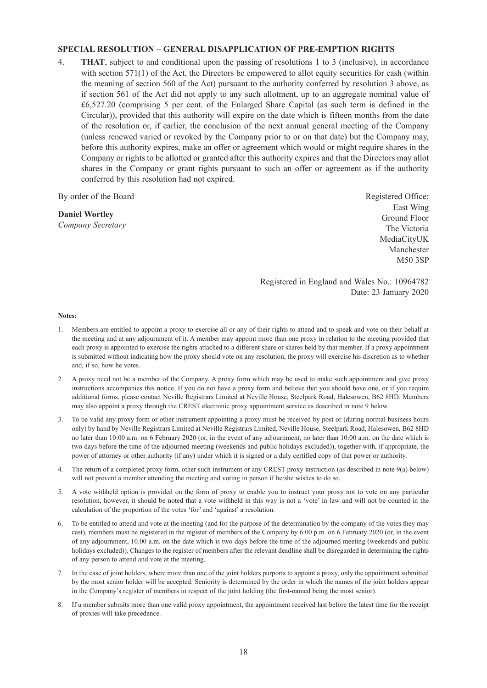#### **SPECIAL RESOLUTION – GENERAL DISAPPLICATION OF PRE-EMPTION RIGHTS**

4. **THAT**, subject to and conditional upon the passing of resolutions 1 to 3 (inclusive), in accordance with section 571(1) of the Act, the Directors be empowered to allot equity securities for cash (within the meaning of section 560 of the Act) pursuant to the authority conferred by resolution 3 above, as if section 561 of the Act did not apply to any such allotment, up to an aggregate nominal value of £6,527.20 (comprising 5 per cent. of the Enlarged Share Capital (as such term is defined in the Circular)), provided that this authority will expire on the date which is fifteen months from the date of the resolution or, if earlier, the conclusion of the next annual general meeting of the Company (unless renewed varied or revoked by the Company prior to or on that date) but the Company may, before this authority expires, make an offer or agreement which would or might require shares in the Company or rights to be allotted or granted after this authority expires and that the Directors may allot shares in the Company or grant rights pursuant to such an offer or agreement as if the authority conferred by this resolution had not expired.

By order of the Board

#### **Daniel Wortley**

*Company Secretary*

Registered Office; East Wing Ground Floor The Victoria MediaCityUK Manchester M50 3SP

Registered in England and Wales No.: 10964782 Date: 23 January 2020

#### **Notes:**

- 1. Members are entitled to appoint a proxy to exercise all or any of their rights to attend and to speak and vote on their behalf at the meeting and at any adjournment of it. A member may appoint more than one proxy in relation to the meeting provided that each proxy is appointed to exercise the rights attached to a different share or shares held by that member. If a proxy appointment is submitted without indicating how the proxy should vote on any resolution, the proxy will exercise his discretion as to whether and, if so, how he votes.
- 2. A proxy need not be a member of the Company. A proxy form which may be used to make such appointment and give proxy instructions accompanies this notice. If you do not have a proxy form and believe that you should have one, or if you require additional forms, please contact Neville Registrars Limited at Neville House, Steelpark Road, Halesowen, B62 8HD. Members may also appoint a proxy through the CREST electronic proxy appointment service as described in note 9 below.
- 3. To be valid any proxy form or other instrument appointing a proxy must be received by post or (during normal business hours only) by hand by Neville Registrars Limited at Neville Registrars Limited, Neville House, Steelpark Road, Halesowen, B62 8HD no later than 10:00 a.m. on 6 February 2020 (or, in the event of any adjournment, no later than 10:00 a.m. on the date which is two days before the time of the adjourned meeting (weekends and public holidays excluded)), together with, if appropriate, the power of attorney or other authority (if any) under which it is signed or a duly certified copy of that power or authority.
- 4. The return of a completed proxy form, other such instrument or any CREST proxy instruction (as described in note 9(a) below) will not prevent a member attending the meeting and voting in person if he/she wishes to do so.
- 5. A vote withheld option is provided on the form of proxy to enable you to instruct your proxy not to vote on any particular resolution, however, it should be noted that a vote withheld in this way is not a 'vote' in law and will not be counted in the calculation of the proportion of the votes 'for' and 'against' a resolution.
- 6. To be entitled to attend and vote at the meeting (and for the purpose of the determination by the company of the votes they may cast), members must be registered in the register of members of the Company by 6:00 p.m. on 6 February 2020 (or, in the event of any adjournment, 10.00 a.m. on the date which is two days before the time of the adjourned meeting (weekends and public holidays excluded)). Changes to the register of members after the relevant deadline shall be disregarded in determining the rights of any person to attend and vote at the meeting.
- 7. In the case of joint holders, where more than one of the joint holders purports to appoint a proxy, only the appointment submitted by the most senior holder will be accepted. Seniority is determined by the order in which the names of the joint holders appear in the Company's register of members in respect of the joint holding (the first-named being the most senior).
- 8. If a member submits more than one valid proxy appointment, the appointment received last before the latest time for the receipt of proxies will take precedence.